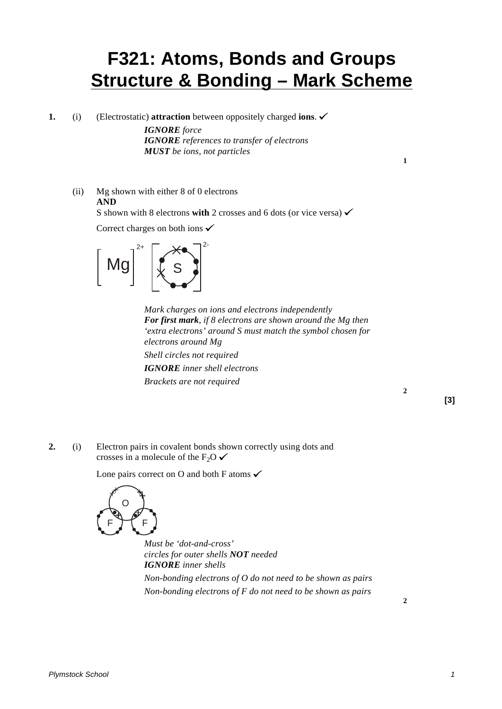# **F321: Atoms, Bonds and Groups Structure & Bonding – Mark Scheme**

**1.** (i) (Electrostatic) **attraction** between oppositely charged **ions**.

*IGNORE force IGNORE references to transfer of electrons MUST be ions, not particles*

(ii) Mg shown with either 8 of 0 electrons **AND** S shown with 8 electrons **with** 2 crosses and 6 dots (or vice versa)  $\checkmark$ Correct charges on both ions  $\checkmark$ 



*Mark charges on ions and electrons independently For first mark, if 8 electrons are shown around the Mg then 'extra electrons' around S must match the symbol chosen for electrons around Mg Shell circles not required IGNORE inner shell electrons Brackets are not required*

**[3]**

**2**

**1**

**2.** (i) Electron pairs in covalent bonds shown correctly using dots and crosses in a molecule of the F<sub>2</sub>O  $\checkmark$ 

Lone pairs correct on O and both F atoms  $\checkmark$ 



*Must be 'dot-and-cross' circles for outer shells NOT needed IGNORE inner shells*

*Non-bonding electrons of O do not need to be shown as pairs Non-bonding electrons of F do not need to be shown as pairs*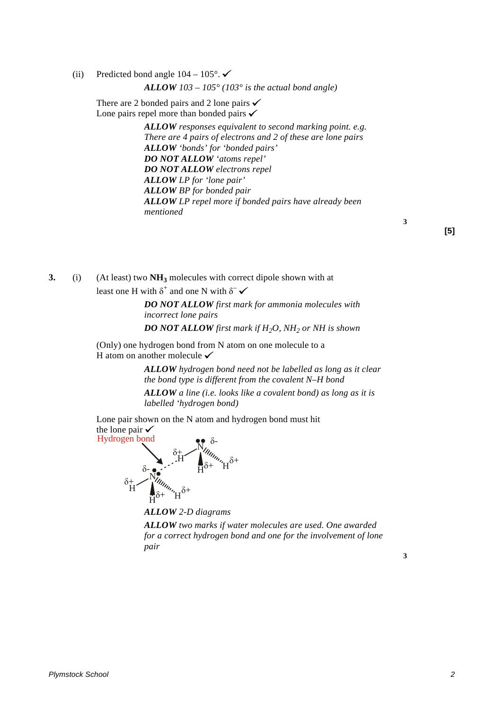(ii) Predicted bond angle  $104 - 105^\circ$ .

*ALLOW 103 – 105° (103° is the actual bond angle)*

There are 2 bonded pairs and 2 lone pairs  $\checkmark$ Lone pairs repel more than bonded pairs  $\checkmark$ 

> *ALLOW responses equivalent to second marking point. e.g. There are 4 pairs of electrons and 2 of these are lone pairs ALLOW 'bonds' for 'bonded pairs' DO NOT ALLOW 'atoms repel' DO NOT ALLOW electrons repel ALLOW LP for 'lone pair' ALLOW BP for bonded pair ALLOW LP repel more if bonded pairs have already been mentioned*

**[5]**

**3**

**3.** (i) (At least) two **NH3** molecules with correct dipole shown with at least one H with  $\delta^+$  and one N with  $\delta^-$ 

> *DO NOT ALLOW first mark for ammonia molecules with incorrect lone pairs*

> *DO NOT ALLOW first mark if H2O, NH2 or NH is shown*

(Only) one hydrogen bond from N atom on one molecule to a H atom on another molecule  $\checkmark$ 

> *ALLOW hydrogen bond need not be labelled as long as it clear the bond type is different from the covalent N–H bond*

*ALLOW a line (i.e. looks like a covalent bond) as long as it is labelled 'hydrogen bond)*

Lone pair shown on the N atom and hydrogen bond must hit the lone pair  $\checkmark$ 



*ALLOW 2-D diagrams ALLOW two marks if water molecules are used. One awarded for a correct hydrogen bond and one for the involvement of lone pair*

**3**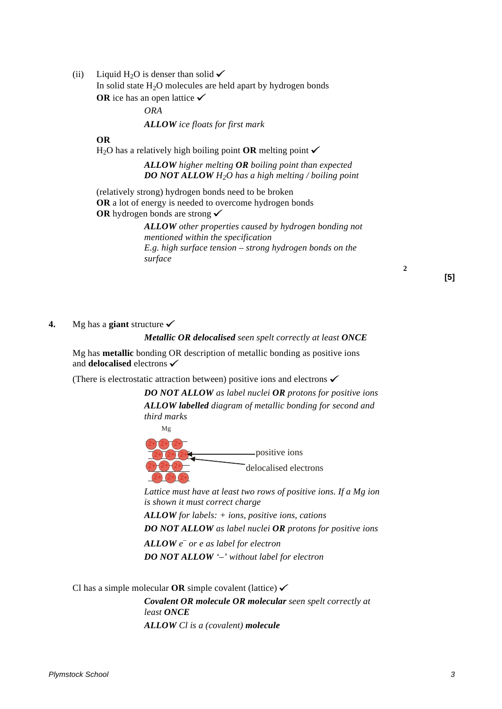(ii) Liquid H<sub>2</sub>O is denser than solid  $\checkmark$ 

In solid state  $H_2O$  molecules are held apart by hydrogen bonds **OR** ice has an open lattice  $\checkmark$ 

*ORA*

*ALLOW ice floats for first mark*

#### **OR**

 $H_2O$  has a relatively high boiling point **OR** melting point  $\checkmark$ 

#### *ALLOW higher melting OR boiling point than expected DO NOT ALLOW H2O has a high melting / boiling point*

(relatively strong) hydrogen bonds need to be broken **OR** a lot of energy is needed to overcome hydrogen bonds **OR** hydrogen bonds are strong <del>✓</del>

> *ALLOW other properties caused by hydrogen bonding not mentioned within the specification E.g. high surface tension – strong hydrogen bonds on the surface*

> > **[5]**

**2**

#### **4.** Mg has a **giant** structure  $\checkmark$

#### *Metallic OR delocalised seen spelt correctly at least ONCE*

Mg has **metallic** bonding OR description of metallic bonding as positive ions and **delocalised** electrons

(There is electrostatic attraction between) positive ions and electrons  $\checkmark$ 

*DO NOT ALLOW as label nuclei OR protons for positive ions ALLOW labelled diagram of metallic bonding for second and third marks*





*Lattice must have at least two rows of positive ions. If a Mg ion is shown it must correct charge*

*ALLOW for labels: + ions, positive ions, cations*

*DO NOT ALLOW as label nuclei OR protons for positive ions*

*ALLOW e – or e as label for electron DO NOT ALLOW '–' without label for electron*

Cl has a simple molecular **OR** simple covalent (lattice)  $\checkmark$ 

*Covalent OR molecule OR molecular seen spelt correctly at least ONCE ALLOW Cl is a (covalent) molecule*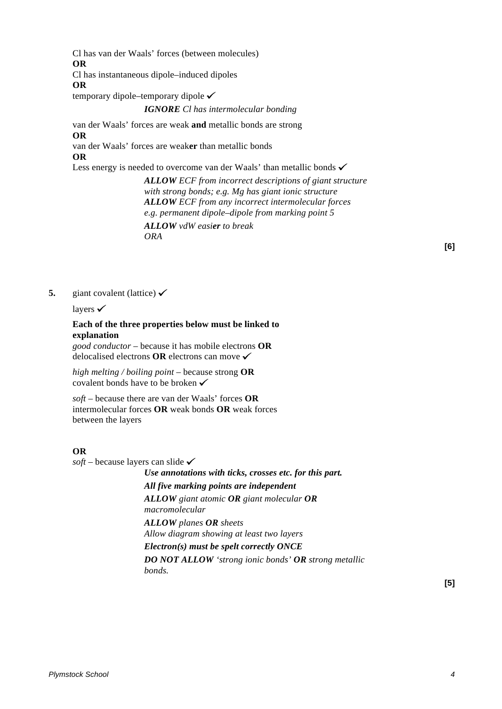Cl has van der Waals' forces (between molecules) **OR**

Cl has instantaneous dipole–induced dipoles

**OR**

temporary dipole–temporary dipole

#### *IGNORE Cl has intermolecular bonding*

van der Waals' forces are weak **and** metallic bonds are strong **OR** van der Waals' forces are weak**er** than metallic bonds

#### **OR**

Less energy is needed to overcome van der Waals' than metallic bonds  $\checkmark$ 

*ALLOW ECF from incorrect descriptions of giant structure with strong bonds; e.g. Mg has giant ionic structure ALLOW ECF from any incorrect intermolecular forces e.g. permanent dipole–dipole from marking point 5 ALLOW vdW easier to break ORA*

**[6]**

**5.** giant covalent (lattice)  $\checkmark$ 

layers  $\checkmark$ 

# **Each of the three properties below must be linked to explanation**

*good conductor* – because it has mobile electrons **OR** delocalised electrons **OR** electrons can move

*high melting / boiling point –* because strong **OR** covalent bonds have to be broken  $\checkmark$ 

*soft* – because there are van der Waals' forces **OR** intermolecular forces **OR** weak bonds **OR** weak forces between the layers

#### **OR**

 $\textit{soft}$  – because layers can slide  $\checkmark$ 

*Use annotations with ticks, crosses etc. for this part. All five marking points are independent ALLOW giant atomic OR giant molecular OR macromolecular ALLOW planes OR sheets Allow diagram showing at least two layers Electron(s) must be spelt correctly ONCE*

*DO NOT ALLOW 'strong ionic bonds' OR strong metallic bonds.*

**[5]**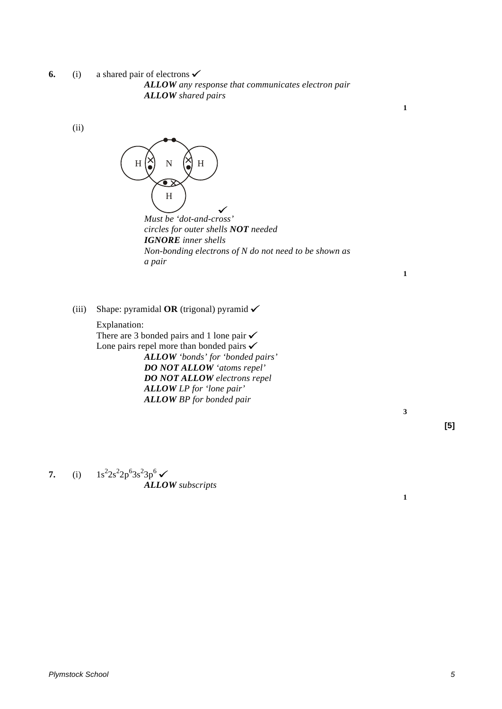**6.** (i) a shared pair of electrons  $\checkmark$ *ALLOW any response that communicates electron pair ALLOW shared pairs*

(ii)



*Must be 'dot-and-cross' circles for outer shells NOT needed IGNORE inner shells Non-bonding electrons of N do not need to be shown as a pair*

**1**

**1**

(iii) Shape: pyramidal **OR** (trigonal) pyramid  $\checkmark$ 

Explanation: There are 3 bonded pairs and 1 lone pair  $\checkmark$ Lone pairs repel more than bonded pairs  $\checkmark$ *ALLOW 'bonds' for 'bonded pairs' DO NOT ALLOW 'atoms repel' DO NOT ALLOW electrons repel ALLOW LP for 'lone pair' ALLOW BP for bonded pair*

**3**

**1**

**[5]**

**7.** (i)  $1s^2 2s^2 2p^6 3s^2 3p^6$ *ALLOW subscripts*

*Plymstock School 5*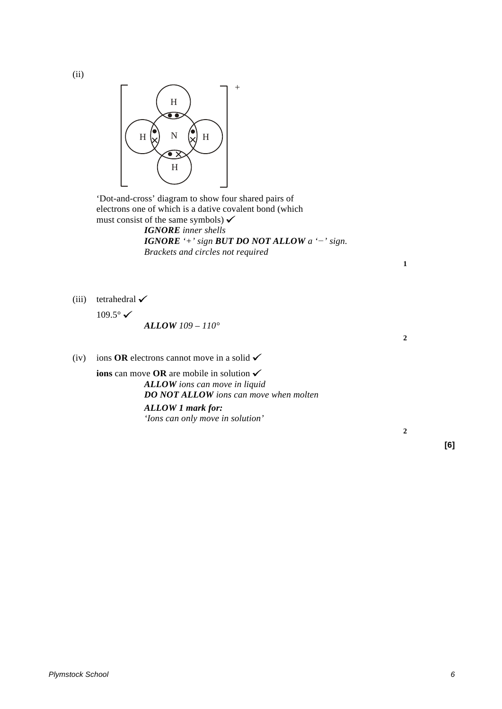(ii)



'Dot-and-cross' diagram to show four shared pairs of electrons one of which is a dative covalent bond (which must consist of the same symbols)  $\checkmark$ *IGNORE inner shells*

*IGNORE '+' sign BUT DO NOT ALLOW a '−' sign. Brackets and circles not required*

(iii) tetrahedral  $\checkmark$ 

 $109.5^{\circ}$   $\checkmark$ 

*ALLOW 109 – 110°*

(iv) ions **OR** electrons cannot move in a solid  $\checkmark$ 

**ions** can move **OR** are mobile in solution *ALLOW ions can move in liquid DO NOT ALLOW ions can move when molten ALLOW 1 mark for: 'Ions can only move in solution'*

**1**

**2**

**2**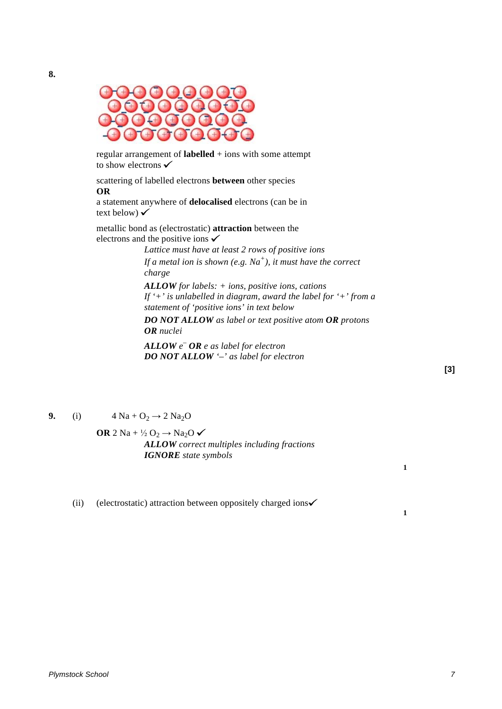

regular arrangement of **labelled** + ions with some attempt to show electrons  $\checkmark$ 

scattering of labelled electrons **between** other species **OR**

a statement anywhere of **delocalised** electrons (can be in text below)  $\checkmark$ 

metallic bond as (electrostatic) **attraction** between the electrons and the positive ions  $\checkmark$ 

> *Lattice must have at least 2 rows of positive ions If a metal ion is shown (e.g. Na+), it must have the correct charge*

*ALLOW for labels: + ions, positive ions, cations If '+' is unlabelled in diagram, award the label for '+' from a statement of 'positive ions' in text below*

*DO NOT ALLOW as label or text positive atom OR protons OR nuclei*

*ALLOW e – OR e as label for electron DO NOT ALLOW '–' as label for electron*

**[3]**

**1**

**1**

**9.** (i)  $4 \text{ Na} + \text{O}_2 \rightarrow 2 \text{ Na}_2\text{O}$ 

**OR** 2 Na +  $\frac{1}{2}$  O<sub>2</sub>  $\rightarrow$  Na<sub>2</sub>O  $\checkmark$ *ALLOW correct multiples including fractions IGNORE state symbols*

(ii) (electrostatic) attraction between oppositely charged ions $\checkmark$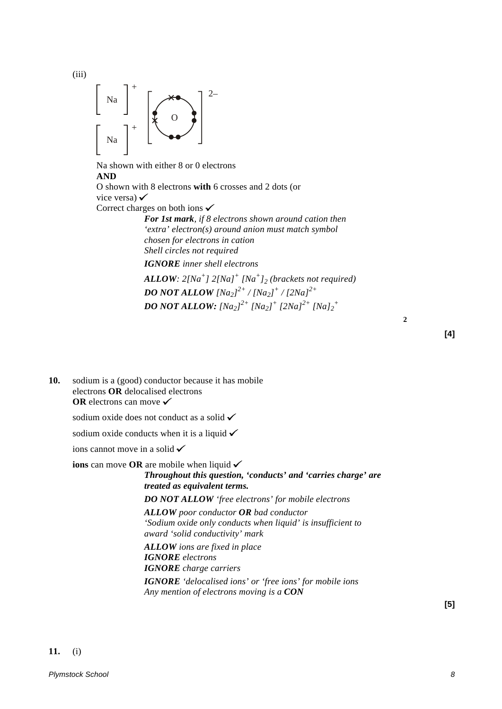

(iii)

Na shown with either 8 or 0 electrons **AND** O shown with 8 electrons **with** 6 crosses and 2 dots (or vice versa)  $\checkmark$ Correct charges on both ions  $\checkmark$ *For 1st mark, if 8 electrons shown around cation then*

*'extra' electron(s) around anion must match symbol chosen for electrons in cation Shell circles not required*

*IGNORE inner shell electrons*

*ALLOW: 2[Na+] 2[Na]+ [Na+]2 (brackets not required) DO NOT ALLOW [Na2] 2+ / [Na2] <sup>+</sup> / [2Na]2+ DO NOT ALLOW: [Na2] 2+ [Na2] <sup>+</sup> [2Na]2+ [Na]2 +*

**2**

**[4]**

**10.** sodium is a (good) conductor because it has mobile electrons **OR** delocalised electrons **OR** electrons can move <del>✓</del>

sodium oxide does not conduct as a solid  $\checkmark$ 

sodium oxide conducts when it is a liquid  $\checkmark$ 

ions cannot move in a solid  $\checkmark$ 

**ions** can move **OR** are mobile when liquid

### *Throughout this question, 'conducts' and 'carries charge' are treated as equivalent terms. DO NOT ALLOW 'free electrons' for mobile electrons*

*ALLOW poor conductor OR bad conductor 'Sodium oxide only conducts when liquid' is insufficient to award 'solid conductivity' mark*

*ALLOW ions are fixed in place IGNORE electrons IGNORE charge carriers IGNORE 'delocalised ions' or 'free ions' for mobile ions Any mention of electrons moving is a CON*

**[5]**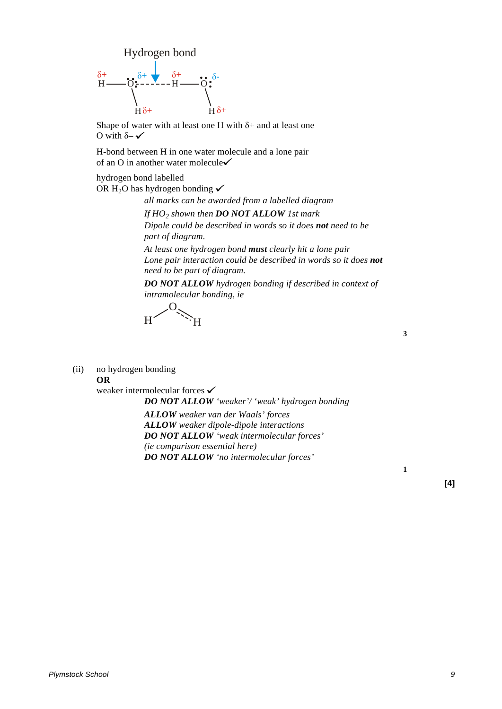

Shape of water with at least one H with  $\delta$ + and at least one O with  $\delta$  –  $\checkmark$ 

H-bond between H in one water molecule and a lone pair of an O in another water molecule

hydrogen bond labelled

OR H<sub>2</sub>O has hydrogen bonding  $\checkmark$ 

*all marks can be awarded from a labelled diagram*

*If HO2 shown then DO NOT ALLOW 1st mark*

*Dipole could be described in words so it does not need to be part of diagram.*

*At least one hydrogen bond must clearly hit a lone pair Lone pair interaction could be described in words so it does not need to be part of diagram.*

*DO NOT ALLOW hydrogen bonding if described in context of intramolecular bonding, ie*

H  $\sim 0$ H<sup>\*</sup>

(ii) no hydrogen bonding

**OR**

weaker intermolecular forces  $\checkmark$ *DO NOT ALLOW 'weaker'/ 'weak' hydrogen bonding ALLOW weaker van der Waals' forces ALLOW weaker dipole-dipole interactions DO NOT ALLOW 'weak intermolecular forces' (ie comparison essential here) DO NOT ALLOW 'no intermolecular forces'*

**3**

**1**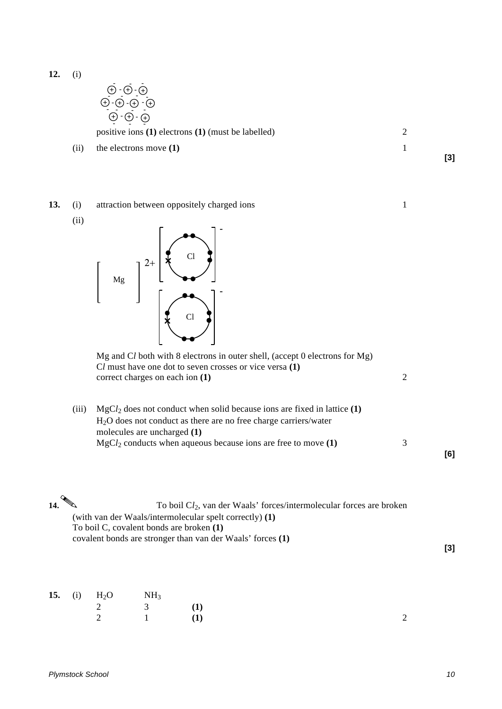$$
\begin{array}{c}\n\oplus \cdot \oplus \cdot \oplus \\
\oplus \cdot \oplus \cdot \oplus \\
\oplus \cdot \oplus \cdot \oplus\n\end{array}
$$

positive ions **(1)** electrons **(1)** (must be labelled) 2

(ii) the electrons move **(1)** 1

**13.** (i) attraction between oppositely charged ions 1

(ii)



|       | Mg and Cl both with 8 electrons in outer shell, (accept 0 electrons for Mg)<br>Cl must have one dot to seven crosses or vice versa (1)<br>correct charges on each ion $(1)$ |  |
|-------|-----------------------------------------------------------------------------------------------------------------------------------------------------------------------------|--|
| (iii) | $MgCl2$ does not conduct when solid because ions are fixed in lattice (1)<br>$H2O$ does not conduct as there are no free charge carriers/water                              |  |

| $MgCl2$ conducts when aqueous because ions are free to move (1) |  |
|-----------------------------------------------------------------|--|
|                                                                 |  |
|                                                                 |  |
|                                                                 |  |

| 14. $\mathbb{Q}$ | To boil $Cl_2$ , van der Waals' forces/intermolecular forces are broken |  |
|------------------|-------------------------------------------------------------------------|--|
|                  | (with van der Waals/intermolecular spelt correctly) (1)                 |  |
|                  | To boil C, covalent bonds are broken (1)                                |  |
|                  | covalent bonds are stronger than van der Waals' forces (1)              |  |

|  | <b>15.</b> (i) $H_2O$ NH <sub>3</sub> |  |  |
|--|---------------------------------------|--|--|
|  | 2 3 (1)                               |  |  |
|  | 2 1 (1)                               |  |  |

molecules are uncharged **(1)**

*Plymstock School 10*

**[6]**

**[3]**

**[3]**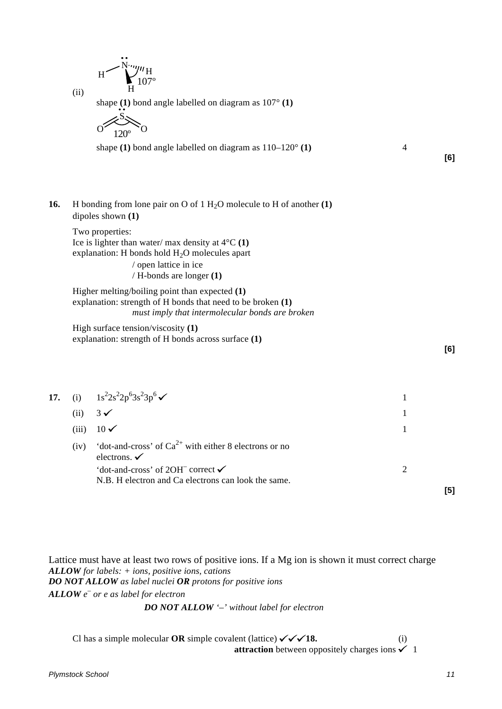$$
H\begin{matrix} \ddots \\ \ddots \\ \ddots \\ H \end{matrix}^{n} H_{107^{\circ}}
$$

(ii)

shape **(1)** bond angle labelled on diagram as 107° **(1)**

$$
\begin{array}{c}\n & \text{S}\n\\ \n & \text{120}^{\circ}\n\end{array}
$$

shape **(1)** bond angle labelled on diagram as 110–120° **(1)** 4

**[6]**

**16.** H bonding from lone pair on O of 1 H<sub>2</sub>O molecule to H of another **(1)** dipoles shown **(1)**

Two properties: Ice is lighter than water/ max density at 4°C **(1)** explanation: H bonds hold  $H_2O$  molecules apart / open lattice in ice

/ H-bonds are longer **(1)**

Higher melting/boiling point than expected **(1)** explanation: strength of H bonds that need to be broken **(1)** *must imply that intermolecular bonds are broken*

High surface tension/viscosity **(1)** explanation: strength of H bonds across surface **(1)**

**[6]**

|       | 17. (i) $1s^2 2s^2 2p^6 3s^2 3p^6$                                                    |  |
|-------|---------------------------------------------------------------------------------------|--|
| (ii)  | $3\checkmark$                                                                         |  |
| (iii) | $10\checkmark$                                                                        |  |
| (iv)  | 'dot-and-cross' of $Ca^{2+}$ with either 8 electrons or no<br>electrons. $\checkmark$ |  |
|       | 'dot-and-cross' of 2OH <sup><math>-</math></sup> correct $\checkmark$                 |  |
|       | N.B. H electron and Ca electrons can look the same.                                   |  |

Lattice must have at least two rows of positive ions. If a Mg ion is shown it must correct charge *ALLOW for labels: + ions, positive ions, cations DO NOT ALLOW as label nuclei OR protons for positive ions ALLOW e – or e as label for electron DO NOT ALLOW '–' without label for electron*

Cl has a simple molecular **OR** simple covalent (lattice)  $\checkmark \checkmark$  18. (i) **attraction** between oppositely charges ions  $\checkmark$  1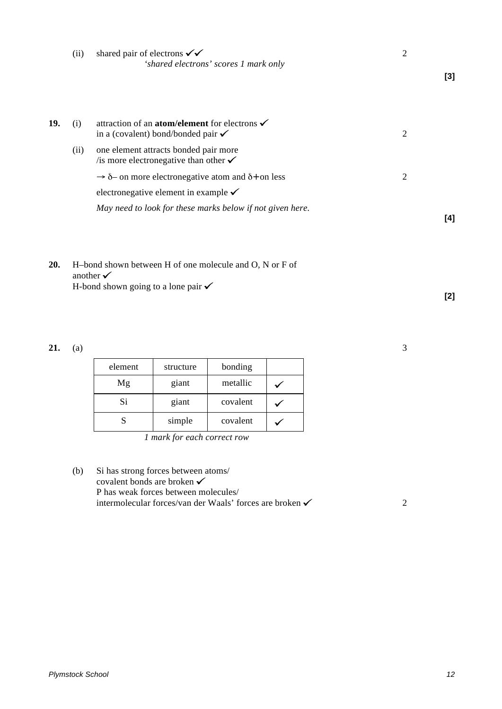|     | (ii) | shared pair of electrons $\checkmark \checkmark$<br>'shared electrons' scores 1 mark only                        | $\overline{2}$ | $[3]$ |
|-----|------|------------------------------------------------------------------------------------------------------------------|----------------|-------|
|     |      |                                                                                                                  |                |       |
| 19. | (i)  | attraction of an <b>atom/element</b> for electrons $\checkmark$<br>in a (covalent) bond/bonded pair $\checkmark$ | $\overline{2}$ |       |
|     | (ii) | one element attracts bonded pair more<br>is more electronegative than other $\checkmark$                         |                |       |
|     |      | $\rightarrow$ $\delta$ - on more electronegative atom and $\delta$ + on less                                     | $\overline{2}$ |       |
|     |      | electronegative element in example $\checkmark$                                                                  |                |       |
|     |      | May need to look for these marks below if not given here.                                                        |                | [4]   |
| 20  |      | H-bond shown between H of one molecule and $\Omega$ N or F of                                                    |                |       |

**20.** H–bond shown between H of one molecule and O, N or F of another  $\checkmark$ H-bond shown going to a lone pair  $\checkmark$ 

**21.** (a) 3

| element | structure | bonding  |  |
|---------|-----------|----------|--|
| Mg      | giant     | metallic |  |
| Si      | giant     | covalent |  |
|         | simple    | covalent |  |

*1 mark for each correct row*

| (b) | Si has strong forces between atoms/                                 |  |
|-----|---------------------------------------------------------------------|--|
|     | covalent bonds are broken $\checkmark$                              |  |
|     | P has weak forces between molecules                                 |  |
|     | intermolecular forces/van der Waals' forces are broken $\checkmark$ |  |
|     |                                                                     |  |

**[2]**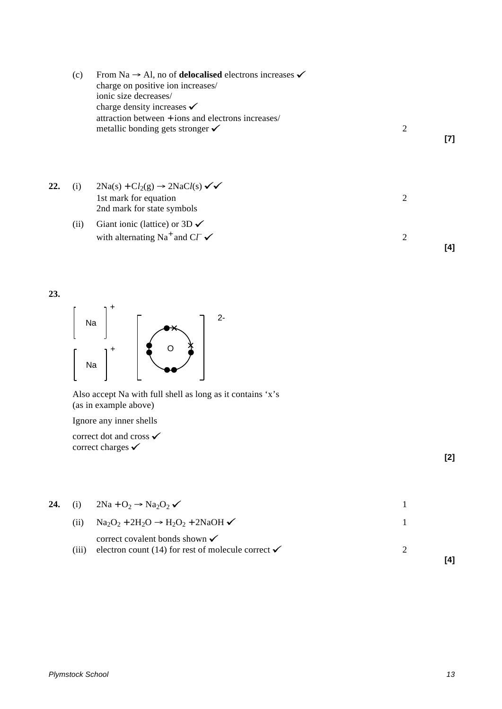|     | (c)  | From Na $\rightarrow$ Al, no of <b>delocalised</b> electrons increases $\checkmark$<br>charge on positive ion increases/<br>ionic size decreases/<br>charge density increases $\checkmark$<br>attraction between + ions and electrons increases/<br>metallic bonding gets stronger $\checkmark$ | $\overline{2}$ | [7] |
|-----|------|-------------------------------------------------------------------------------------------------------------------------------------------------------------------------------------------------------------------------------------------------------------------------------------------------|----------------|-----|
| 22. | (i)  | $2Na(s) + Cl_2(g) \rightarrow 2NaCl(s) \checkmark$<br>1st mark for equation<br>2nd mark for state symbols                                                                                                                                                                                       | 2              |     |
|     | (ii) | Giant ionic (lattice) or $3D \checkmark$<br>with alternating Na <sup>+</sup> and C $\Gamma \checkmark$                                                                                                                                                                                          | 2              | [4] |





Also accept Na with full shell as long as it contains 'x's (as in example above)

Ignore any inner shells

correct dot and cross **✓** correct charges  $\checkmark$ 

**[2]**

| 24. | (i)    | $2Na + O_2 \rightarrow Na_2O_2 \checkmark$                                                                 |  |
|-----|--------|------------------------------------------------------------------------------------------------------------|--|
|     | (11)   | $\text{Na}_2\text{O}_2 + 2\text{H}_2\text{O} \rightarrow \text{H}_2\text{O}_2 + 2\text{NaOH} \checkmark$   |  |
|     | (111 ) | correct covalent bonds shown $\checkmark$<br>electron count (14) for rest of molecule correct $\checkmark$ |  |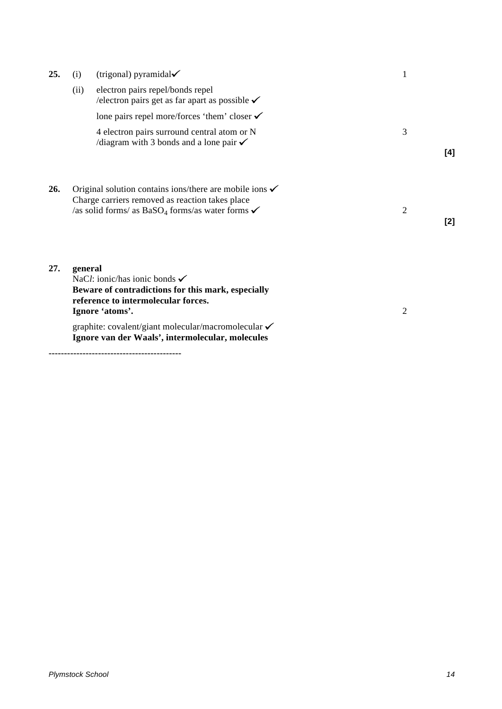| 25. | (i)     | (trigonal) pyramidal $\checkmark$                                                                                                                                                                | 1                     |
|-----|---------|--------------------------------------------------------------------------------------------------------------------------------------------------------------------------------------------------|-----------------------|
|     | (ii)    | electron pairs repel/bonds repel<br>/electron pairs get as far apart as possible $\checkmark$                                                                                                    |                       |
|     |         | lone pairs repel more/forces 'them' closer $\checkmark$                                                                                                                                          |                       |
|     |         | 4 electron pairs surround central atom or N<br>$\alpha$ /diagram with 3 bonds and a lone pair $\checkmark$                                                                                       | 3<br>[4]              |
| 26. |         | Original solution contains ions/there are mobile ions $\checkmark$<br>Charge carriers removed as reaction takes place<br>/as solid forms/ as BaSO <sub>4</sub> forms/as water forms $\checkmark$ | $\overline{2}$<br>[2] |
| 27. | general | NaCl: ionic/has ionic bonds $\checkmark$<br>Beware of contradictions for this mark, especially<br>reference to intermolecular forces.<br>Ignore 'atoms'.                                         | $\overline{2}$        |
|     |         | graphite: covalent/giant molecular/macromolecular √<br>Ignore van der Waals', intermolecular, molecules                                                                                          |                       |

**-------------------------------------------**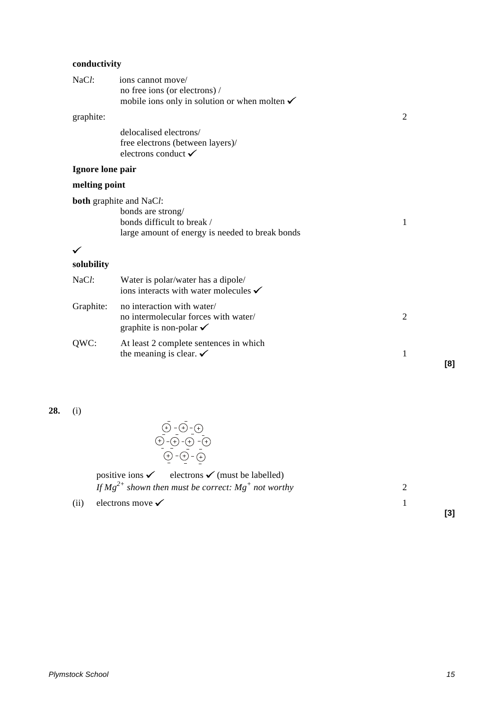# **conductivity**

| NaCl:            | ions cannot move/<br>no free ions (or electrons) /<br>mobile ions only in solution or when molten $\checkmark$ |                |     |
|------------------|----------------------------------------------------------------------------------------------------------------|----------------|-----|
| graphite:        |                                                                                                                | $\overline{2}$ |     |
|                  | delocalised electrons/<br>free electrons (between layers)/<br>electrons conduct $\checkmark$                   |                |     |
| Ignore lone pair |                                                                                                                |                |     |
| melting point    |                                                                                                                |                |     |
|                  | <b>both</b> graphite and NaCl:                                                                                 |                |     |
|                  | bonds are strong/<br>bonds difficult to break /<br>large amount of energy is needed to break bonds             | 1              |     |
|                  |                                                                                                                |                |     |
| solubility       |                                                                                                                |                |     |
| NaCl:            | Water is polar/water has a dipole/<br>ions interacts with water molecules $\checkmark$                         |                |     |
| Graphite:        | no interaction with water/<br>no intermolecular forces with water/<br>graphite is non-polar $\checkmark$       | $\mathfrak{2}$ |     |
| QWC:             | At least 2 complete sentences in which<br>the meaning is clear. $\checkmark$                                   | $\mathbf{1}$   | [8] |
|                  |                                                                                                                |                |     |

**28.** (i)

| positive ions $\checkmark$ electrons $\checkmark$ (must be labelled) |  |
|----------------------------------------------------------------------|--|
| If $Mg^{2+}$ shown then must be correct: $Mg^{+}$ not worthy         |  |
| (ii) electrons move $\checkmark$                                     |  |
|                                                                      |  |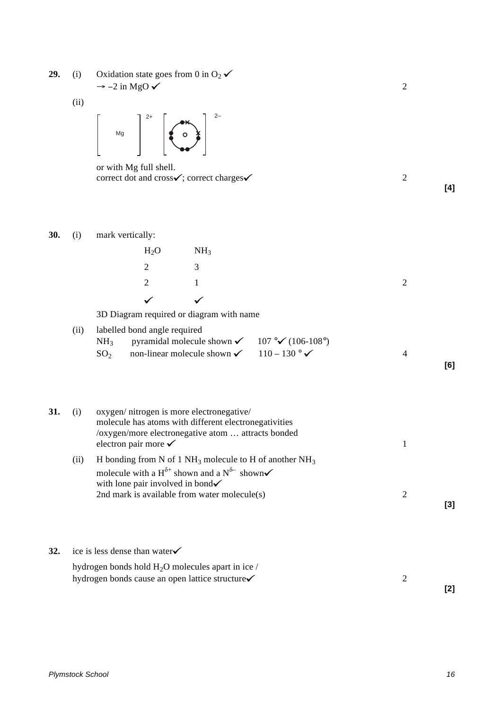**29.** (i) Oxidation state goes from 0 in  $O_2 \checkmark$  $\rightarrow$  -2 in MgO  $\checkmark$  2

(ii)



or with Mg full shell. correct dot and cross $\checkmark$ ; correct charges  $\checkmark$  2



**32.** ice is less dense than water<del>√</del>

hydrogen bonds hold H<sub>2</sub>O molecules apart in ice / hydrogen bonds cause an open lattice structure  $\checkmark$  2

**[2]**

**[4]**

**[6]**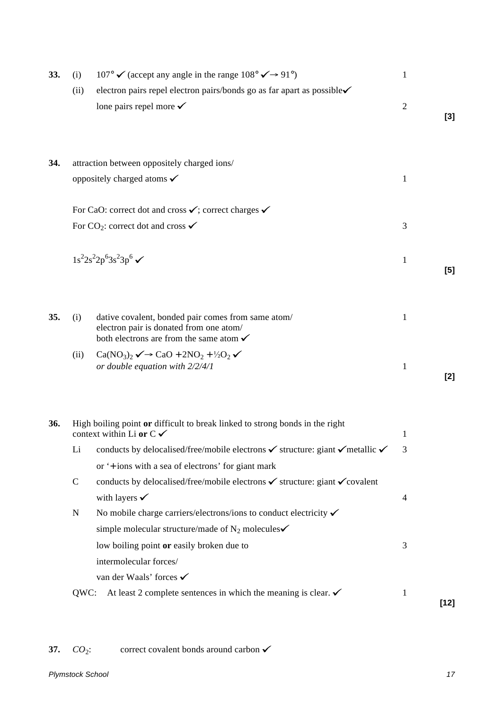| 33. | (i)         | 107° $\checkmark$ (accept any angle in the range 108° $\checkmark$ $\rightarrow$ 91°)                                                               | $\mathbf{1}$   |        |
|-----|-------------|-----------------------------------------------------------------------------------------------------------------------------------------------------|----------------|--------|
|     | (ii)        | electron pairs repel electron pairs/bonds go as far apart as possible√<br>lone pairs repel more $\checkmark$                                        | $\overline{2}$ | $[3]$  |
| 34. |             | attraction between oppositely charged ions/                                                                                                         |                |        |
|     |             | oppositely charged atoms $\checkmark$                                                                                                               | $\mathbf{1}$   |        |
|     |             |                                                                                                                                                     |                |        |
|     |             | For CaO: correct dot and cross $\checkmark$ ; correct charges $\checkmark$                                                                          |                |        |
|     |             | For CO <sub>2</sub> : correct dot and cross $\checkmark$                                                                                            | 3              |        |
|     |             |                                                                                                                                                     |                |        |
|     |             | $1s^22s^22p^63s^23p^6$                                                                                                                              | $\mathbf{1}$   |        |
|     |             |                                                                                                                                                     |                | [5]    |
|     |             |                                                                                                                                                     |                |        |
| 35. | (i)         | dative covalent, bonded pair comes from same atom/<br>electron pair is donated from one atom/<br>both electrons are from the same atom $\checkmark$ | 1              |        |
|     | (ii)        | $Ca(NO3)2 \rightarrow CaO + 2NO2 + \frac{1}{2}O2 \rightarrow$                                                                                       |                |        |
|     |             | or double equation with 2/2/4/1                                                                                                                     | $\mathbf{1}$   | [2]    |
|     |             |                                                                                                                                                     |                |        |
| 36. |             | High boiling point or difficult to break linked to strong bonds in the right<br>context within Li or $C \checkmark$                                 | 1              |        |
|     | Li          | conducts by delocalised/free/mobile electrons <del>✓</del> structure: giant ✓ metallic ✓                                                            |                |        |
|     |             | or '+ ions with a sea of electrons' for giant mark                                                                                                  |                |        |
|     | $\mathbf C$ | conducts by delocalised/free/mobile electrons ✓ structure: giant ✓ covalent                                                                         |                |        |
|     |             | with layers $\checkmark$                                                                                                                            | $\overline{4}$ |        |
|     | $\mathbf N$ | No mobile charge carriers/electrons/ions to conduct electricity $\checkmark$                                                                        |                |        |
|     |             | simple molecular structure/made of $N_2$ molecules $\checkmark$                                                                                     |                |        |
|     |             | low boiling point or easily broken due to                                                                                                           | 3              |        |
|     |             | intermolecular forces/                                                                                                                              |                |        |
|     |             | van der Waals' forces ✔                                                                                                                             |                |        |
|     | QWC:        | At least 2 complete sentences in which the meaning is clear. $\checkmark$                                                                           | $\mathbf{1}$   | $[12]$ |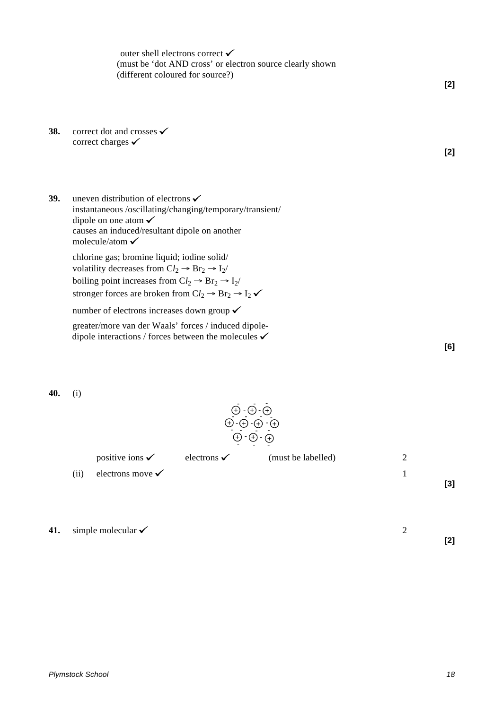outer shell electrons correct  $\checkmark$ (must be 'dot AND cross' or electron source clearly shown (different coloured for source?)

- **38.** correct dot and crosses <del>✓</del> correct charges  $\checkmark$
- **39.** uneven distribution of electrons  $\checkmark$ instantaneous /oscillating/changing/temporary/transient/ dipole on one atom causes an induced/resultant dipole on another molecule/atom  $\checkmark$

chlorine gas; bromine liquid; iodine solid/ volatility decreases from  $Cl_2 \rightarrow Br_2 \rightarrow I_2$ / boiling point increases from  $Cl_2 \rightarrow Br_2 \rightarrow I_2$ / stronger forces are broken from  $Cl_2 \rightarrow Br_2 \rightarrow I_2 \checkmark$ 

number of electrons increases down group ✔

greater/more van der Waals' forces / induced dipoledipole interactions / forces between the molecules  $\checkmark$ 

**40.** (i)



 $\oplus$  - $\oplus$  - $\oplus$  - $\oplus$  $\oplus$  -  $\oplus$  -  $\oplus$ 

- - -

- --

positive ions  $\checkmark$  electrons  $\checkmark$  (must be labelled) 2

-

 $\Theta$  -  $\Theta$  -  $\Theta$ 

-  $\overline{D}$  -  $\overline{\bigoplus}$  -  $\overline{\bigoplus}$  -  $\overline{\bigoplus}$  -  $\overline{\bigoplus}$  -  $\overline{\bigoplus}$  -  $\overline{\bigoplus}$  -  $\overline{\bigoplus}$  -  $\overline{\bigoplus}$  -  $\overline{\bigoplus}$  -  $\overline{\bigoplus}$ 

⊕ - ⊕ - ⊕<br>-<br>- - - - - - -

 $\frac{1}{2}$  -  $\frac{1}{2}$ 

**41.** simple molecular  $\checkmark$  2



**[2]**

**[6]**

**[2]**

**[3]**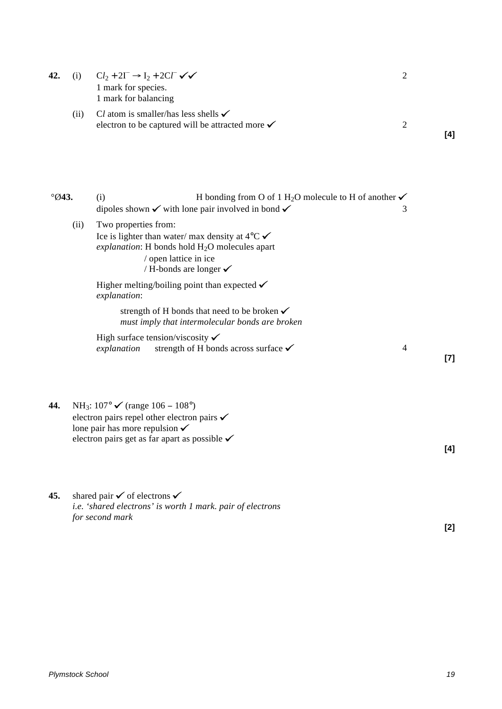| 42.            | (i)  | $Cl_2 + 2I^- \rightarrow I_2 + 2Cl^- \checkmark$<br>1 mark for species.<br>1 mark for balancing                                                                                                                                | $\mathfrak{2}$          |
|----------------|------|--------------------------------------------------------------------------------------------------------------------------------------------------------------------------------------------------------------------------------|-------------------------|
|                | (ii) | Cl atom is smaller/has less shells $\checkmark$<br>electron to be captured will be attracted more $\checkmark$                                                                                                                 | $\mathfrak{2}$<br>[4]   |
| $\degree$ Ø43. |      | H bonding from O of 1 H <sub>2</sub> O molecule to H of another $\checkmark$<br>(i)<br>dipoles shown $\checkmark$ with lone pair involved in bond $\checkmark$                                                                 | 3                       |
|                | (ii) | Two properties from:<br>Ice is lighter than water/ max density at $4^{\circ}$ C $\checkmark$<br>explanation: H bonds hold H <sub>2</sub> O molecules apart<br>/ open lattice in ice<br>/ H-bonds are longer $\checkmark$       |                         |
|                |      | Higher melting/boiling point than expected $\checkmark$<br>explanation:                                                                                                                                                        |                         |
|                |      | strength of H bonds that need to be broken $\checkmark$<br>must imply that intermolecular bonds are broken                                                                                                                     |                         |
|                |      | High surface tension/viscosity $\checkmark$<br>strength of H bonds across surface $\checkmark$<br>explanation                                                                                                                  | $\overline{4}$<br>$[7]$ |
| 44.            |      | NH <sub>3</sub> : $107°$ <del>✓</del> (range $106 - 108°$ )<br>electron pairs repel other electron pairs $\checkmark$<br>lone pair has more repulsion $\checkmark$<br>electron pairs get as far apart as possible $\checkmark$ | [4]                     |
| 45.            |      | shared pair $\checkmark$ of electrons $\checkmark$<br>i.e. 'shared electrons' is worth 1 mark. pair of electrons                                                                                                               |                         |
|                |      | for second mark                                                                                                                                                                                                                | [2]                     |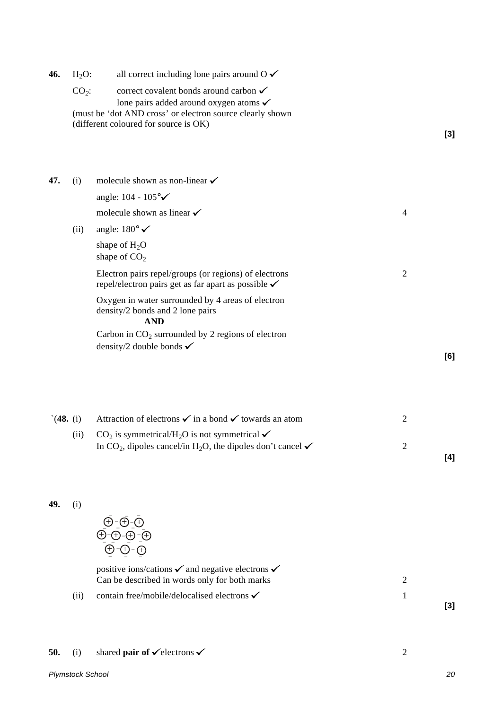|     |      | lone pairs added around oxygen atoms $\checkmark$<br>(must be 'dot AND cross' or electron source clearly shown<br>(different coloured for source is OK) |   |  |  |
|-----|------|---------------------------------------------------------------------------------------------------------------------------------------------------------|---|--|--|
| 47. | (i)  | molecule shown as non-linear $\checkmark$                                                                                                               |   |  |  |
|     |      | angle: $104 - 105^{\circ}$                                                                                                                              |   |  |  |
|     |      | molecule shown as linear $\checkmark$                                                                                                                   | 4 |  |  |
|     | (ii) | angle: $180^{\circ}$ $\checkmark$                                                                                                                       |   |  |  |
|     |      | shape of $H_2O$<br>shape of $CO2$                                                                                                                       |   |  |  |
|     |      | Electron pairs repel/groups (or regions) of electrons<br>repel/electron pairs get as far apart as possible $\checkmark$                                 | 2 |  |  |
|     |      | Oxygen in water surrounded by 4 areas of electron<br>density/2 bonds and 2 lone pairs<br><b>AND</b>                                                     |   |  |  |
|     |      | Carbon in $CO2$ surrounded by 2 regions of electron                                                                                                     |   |  |  |

**46.** H<sub>2</sub>O: all correct including lone pairs around  $0 \checkmark$ 

 $CO<sub>2</sub>$ : correct covalent bonds around carbon  $\checkmark$ 

**[6]**

**[3]**

| (48. (i) | Attraction of electrons $\checkmark$ in a bond $\checkmark$ towards an atom                                                                                             |     |
|----------|-------------------------------------------------------------------------------------------------------------------------------------------------------------------------|-----|
| (11)     | $CO2$ is symmetrical/H <sub>2</sub> O is not symmetrical $\checkmark$<br>In CO <sub>2</sub> , dipoles cancel/in H <sub>2</sub> O, the dipoles don't cancel $\checkmark$ |     |
|          |                                                                                                                                                                         | [4] |

**49.** (i)

$$
\begin{array}{c}\n\overline{\Theta}\cdot\overline{\Theta}\cdot\overline{\Theta}\\ \overline{\Theta}\cdot\overline{\Theta}\cdot\overline{\Theta}\cdot\overline{\Theta}\\ \overline{\Theta}\cdot\overline{\Theta}\cdot\overline{\Theta}\cdot\overline{\Theta}\n\end{array}
$$

density/2 double bonds  $\checkmark$ 

positive ions/cations  $\checkmark$  and negative electrons  $\checkmark$ Can be described in words only for both marks 2 (ii) contain free/mobile/delocalised electrons  $\checkmark$  1

**[3]**

# **50.** (i) shared **pair of**  $\checkmark$  electrons  $\checkmark$  2

*Plymstock School 20*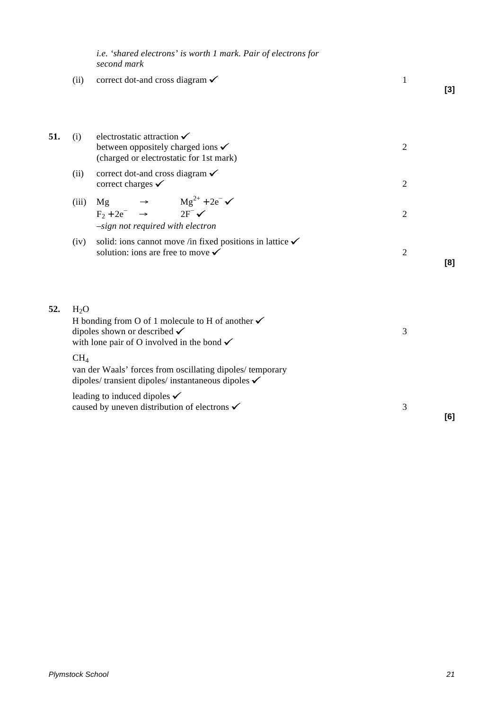*i.e. 'shared electrons' is worth 1 mark. Pair of electrons for second mark*

(ii) correct dot-and cross diagram  $\checkmark$  1 **[3]**

| 51. | (i)             | electrostatic attraction $\checkmark$<br>between oppositely charged ions $\checkmark$<br>(charged or electrostatic for 1st mark)                                                                         | $\overline{2}$ |     |
|-----|-----------------|----------------------------------------------------------------------------------------------------------------------------------------------------------------------------------------------------------|----------------|-----|
|     | (ii)            | correct dot-and cross diagram $\checkmark$<br>correct charges $\checkmark$                                                                                                                               | $\overline{2}$ |     |
|     | (iii)           | Mg $\begin{array}{ccc}\n\mathbf{Mg} & \rightarrow & \mathbf{Mg}^{2+} + 2e^- \checkmark \\ \mathbf{F}_2 + 2e^- & \rightarrow & 2\mathbf{F}^- \checkmark\n\end{array}$<br>-sign not required with electron | $\overline{2}$ |     |
|     | (iv)            | solid: ions cannot move /in fixed positions in lattice $\checkmark$<br>solution: ions are free to move $\checkmark$                                                                                      | 2              | [8] |
| 52. | $H_2O$          | H bonding from O of 1 molecule to H of another $\checkmark$<br>dipoles shown or described $\checkmark$<br>with lone pair of O involved in the bond $\checkmark$                                          | 3              |     |
|     | CH <sub>4</sub> | van der Waals' forces from oscillating dipoles/temporary<br>dipoles/transient dipoles/instantaneous dipoles $\checkmark$                                                                                 |                |     |
|     |                 | leading to induced dipoles $\checkmark$                                                                                                                                                                  |                |     |

caused by uneven distribution of electrons  $\checkmark$  3

**[6]**